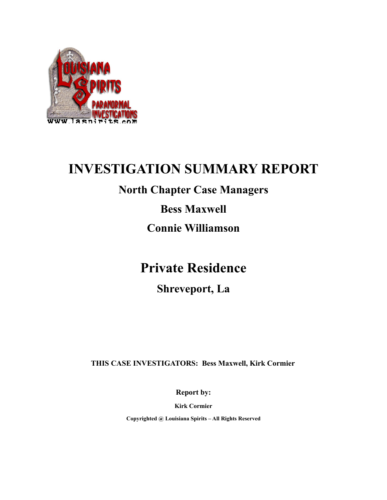

### **INVESTIGATION SUMMARY REPORT**

### **North Chapter Case Managers**

**Bess Maxwell**

**Connie Williamson**

### **Private Residence**

**Shreveport, La**

 **THIS CASE INVESTIGATORS: Bess Maxwell, Kirk Cormier**

**Report by:**

**Kirk Cormier**

**Copyrighted @ Louisiana Spirits – All Rights Reserved**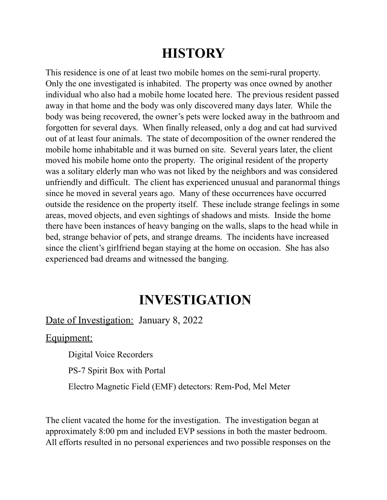# **HISTORY**

This residence is one of at least two mobile homes on the semi-rural property. Only the one investigated is inhabited. The property was once owned by another individual who also had a mobile home located here. The previous resident passed away in that home and the body was only discovered many days later. While the body was being recovered, the owner's pets were locked away in the bathroom and forgotten for several days. When finally released, only a dog and cat had survived out of at least four animals. The state of decomposition of the owner rendered the mobile home inhabitable and it was burned on site. Several years later, the client moved his mobile home onto the property. The original resident of the property was a solitary elderly man who was not liked by the neighbors and was considered unfriendly and difficult. The client has experienced unusual and paranormal things since he moved in several years ago. Many of these occurrences have occurred outside the residence on the property itself. These include strange feelings in some areas, moved objects, and even sightings of shadows and mists. Inside the home there have been instances of heavy banging on the walls, slaps to the head while in bed, strange behavior of pets, and strange dreams. The incidents have increased since the client's girlfriend began staying at the home on occasion. She has also experienced bad dreams and witnessed the banging.

## **INVESTIGATION**

#### Date of Investigation: January 8, 2022

Equipment:

Digital Voice Recorders

PS-7 Spirit Box with Portal

Electro Magnetic Field (EMF) detectors: Rem-Pod, Mel Meter

The client vacated the home for the investigation. The investigation began at approximately 8:00 pm and included EVP sessions in both the master bedroom. All efforts resulted in no personal experiences and two possible responses on the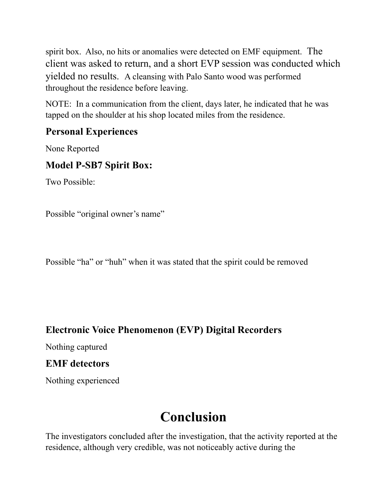spirit box. Also, no hits or anomalies were detected on EMF equipment. The client was asked to return, and a short EVP session was conducted which yielded no results. A cleansing with Palo Santo wood was performed throughout the residence before leaving.

NOTE: In a communication from the client, days later, he indicated that he was tapped on the shoulder at his shop located miles from the residence.

### **Personal Experiences**

None Reported

### **Model P-SB7 Spirit Box:**

Two Possible:

Possible "original owner's name"

Possible "ha" or "huh" when it was stated that the spirit could be removed

#### **Electronic Voice Phenomenon (EVP) Digital Recorders**

Nothing captured

#### **EMF detectors**

Nothing experienced

# **Conclusion**

The investigators concluded after the investigation, that the activity reported at the residence, although very credible, was not noticeably active during the